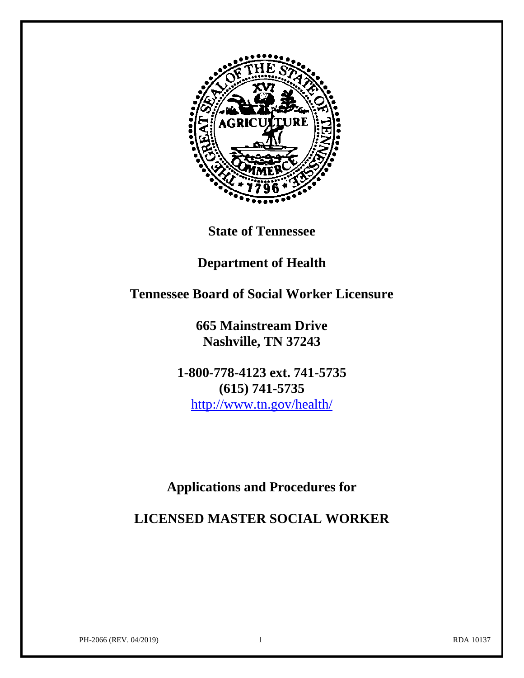

**State of Tennessee**

# **Department of Health**

# **Tennessee Board of Social Worker Licensure**

**665 Mainstream Drive Nashville, TN 37243**

**1-800-778-4123 ext. 741-5735 (615) 741-5735** <http://www.tn.gov/health/>

# **Applications and Procedures for**

**LICENSED MASTER SOCIAL WORKER**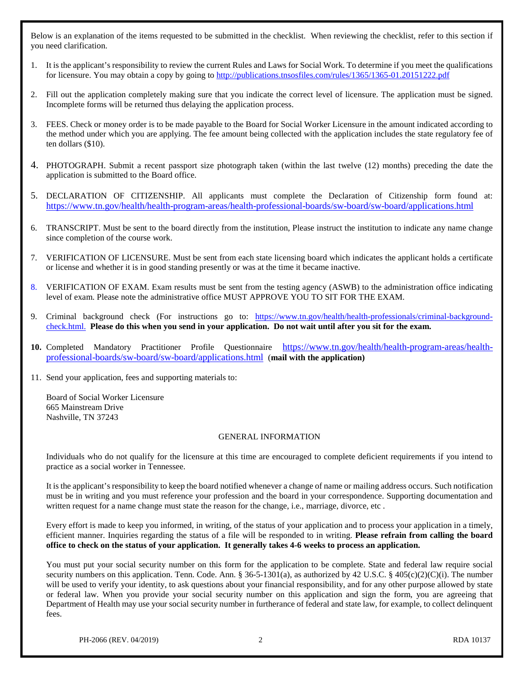Below is an explanation of the items requested to be submitted in the checklist. When reviewing the checklist, refer to this section if you need clarification.

- 1. It is the applicant's responsibility to review the current Rules and Laws for Social Work. To determine if you meet the qualifications for licensure. You may obtain a copy by going to<http://publications.tnsosfiles.com/rules/1365/1365-01.20151222.pdf>
- 2. Fill out the application completely making sure that you indicate the correct level of licensure. The application must be signed. Incomplete forms will be returned thus delaying the application process.
- 3. FEES. Check or money order is to be made payable to the Board for Social Worker Licensure in the amount indicated according to the method under which you are applying. The fee amount being collected with the application includes the state regulatory fee of ten dollars (\$10).
- 4. PHOTOGRAPH. Submit a recent passport size photograph taken (within the last twelve (12) months) preceding the date the application is submitted to the Board office.
- 5. DECLARATION OF CITIZENSHIP. All applicants must complete the Declaration of Citizenship form found at: <https://www.tn.gov/health/health-program-areas/health-professional-boards/sw-board/sw-board/applications.html>
- 6. TRANSCRIPT. Must be sent to the board directly from the institution, Please instruct the institution to indicate any name change since completion of the course work.
- 7. VERIFICATION OF LICENSURE. Must be sent from each state licensing board which indicates the applicant holds a certificate or license and whether it is in good standing presently or was at the time it became inactive.
- 8. VERIFICATION OF EXAM. Exam results must be sent from the testing agency (ASWB) to the administration office indicating level of exam. Please note the administrative office MUST APPROVE YOU TO SIT FOR THE EXAM.
- 9. Criminal background check (For instructions go to: [https://www.tn.gov/health/health-professionals/criminal-background](https://www.tn.gov/health/health-professionals/criminal-background-check.html)[check.html.](https://www.tn.gov/health/health-professionals/criminal-background-check.html) **Please do this when you send in your application. Do not wait until after you sit for the exam.**
- **10.** Completed Mandatory Practitioner Profile Questionnaire [https://www.tn.gov/health/health-program-areas/health](https://www.tn.gov/health/health-program-areas/health-professional-boards/sw-board/sw-board/applications.html)[professional-boards/sw-board/sw-board/applications.html](https://www.tn.gov/health/health-program-areas/health-professional-boards/sw-board/sw-board/applications.html) (**mail with the application)**
- 11. Send your application, fees and supporting materials to:

Board of Social Worker Licensure 665 Mainstream Drive Nashville, TN 37243

#### GENERAL INFORMATION

Individuals who do not qualify for the licensure at this time are encouraged to complete deficient requirements if you intend to practice as a social worker in Tennessee.

It is the applicant's responsibility to keep the board notified whenever a change of name or mailing address occurs. Such notification must be in writing and you must reference your profession and the board in your correspondence. Supporting documentation and written request for a name change must state the reason for the change, i.e., marriage, divorce, etc.

Every effort is made to keep you informed, in writing, of the status of your application and to process your application in a timely, efficient manner. Inquiries regarding the status of a file will be responded to in writing. **Please refrain from calling the board office to check on the status of your application. It generally takes 4-6 weeks to process an application.**

You must put your social security number on this form for the application to be complete. State and federal law require social security numbers on this application. Tenn. Code. Ann. § 36-5-1301(a), as authorized by 42 U.S.C. § 405(c)(2)(C)(i). The number will be used to verify your identity, to ask questions about your financial responsibility, and for any other purpose allowed by state or federal law. When you provide your social security number on this application and sign the form, you are agreeing that Department of Health may use your social security number in furtherance of federal and state law, for example, to collect delinquent fees.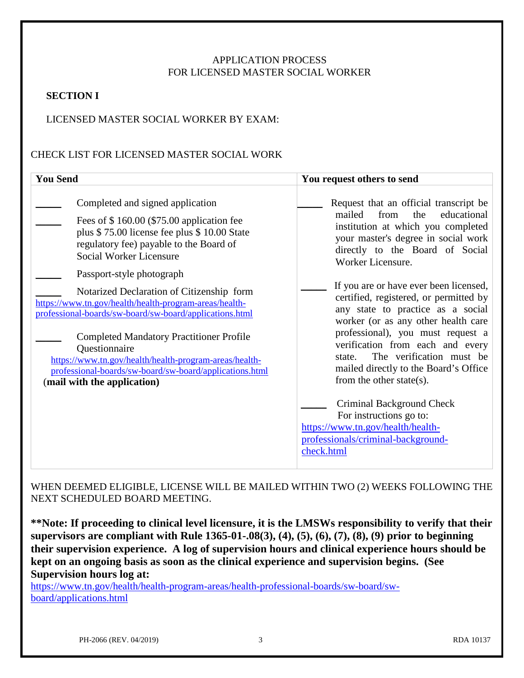### APPLICATION PROCESS FOR LICENSED MASTER SOCIAL WORKER

#### **SECTION I**

#### LICENSED MASTER SOCIAL WORKER BY EXAM:

### CHECK LIST FOR LICENSED MASTER SOCIAL WORK

| <b>You Send</b>                                                                                                                                                                                                                                                                                                                           | You request others to send                                                                                                                                                                                                                                                                             |
|-------------------------------------------------------------------------------------------------------------------------------------------------------------------------------------------------------------------------------------------------------------------------------------------------------------------------------------------|--------------------------------------------------------------------------------------------------------------------------------------------------------------------------------------------------------------------------------------------------------------------------------------------------------|
| Completed and signed application<br>Fees of \$160.00 (\$75.00 application fee<br>plus \$75.00 license fee plus \$10.00 State<br>regulatory fee) payable to the Board of<br><b>Social Worker Licensure</b><br>Passport-style photograph<br>Notarized Declaration of Citizenship form                                                       | Request that an official transcript be<br>from<br>educational<br>mailed<br>the<br>institution at which you completed<br>your master's degree in social work<br>directly to the Board of Social<br>Worker Licensure.<br>If you are or have ever been licensed,                                          |
| https://www.tn.gov/health/health-program-areas/health-<br>professional-boards/sw-board/sw-board/applications.html<br><b>Completed Mandatory Practitioner Profile</b><br>Questionnaire<br>https://www.tn.gov/health/health-program-areas/health-<br>professional-boards/sw-board/sw-board/applications.html<br>(mail with the application) | certified, registered, or permitted by<br>any state to practice as a social<br>worker (or as any other health care<br>professional), you must request a<br>verification from each and every<br>The verification must be<br>state.<br>mailed directly to the Board's Office<br>from the other state(s). |
|                                                                                                                                                                                                                                                                                                                                           | Criminal Background Check<br>For instructions go to:<br>https://www.tn.gov/health/health-<br>professionals/criminal-background-<br>check.html                                                                                                                                                          |

WHEN DEEMED ELIGIBLE, LICENSE WILL BE MAILED WITHIN TWO (2) WEEKS FOLLOWING THE NEXT SCHEDULED BOARD MEETING.

**\*\*Note: If proceeding to clinical level licensure, it is the LMSWs responsibility to verify that their supervisors are compliant with Rule 1365-01-.08(3), (4), (5), (6), (7), (8), (9) prior to beginning their supervision experience. A log of supervision hours and clinical experience hours should be kept on an ongoing basis as soon as the clinical experience and supervision begins. (See Supervision hours log at:** 

[https://www.tn.gov/health/health-program-areas/health-professional-boards/sw-board/sw](https://www.tn.gov/health/health-program-areas/health-professional-boards/sw-board/sw-board/applications.html)[board/applications.html](https://www.tn.gov/health/health-program-areas/health-professional-boards/sw-board/sw-board/applications.html)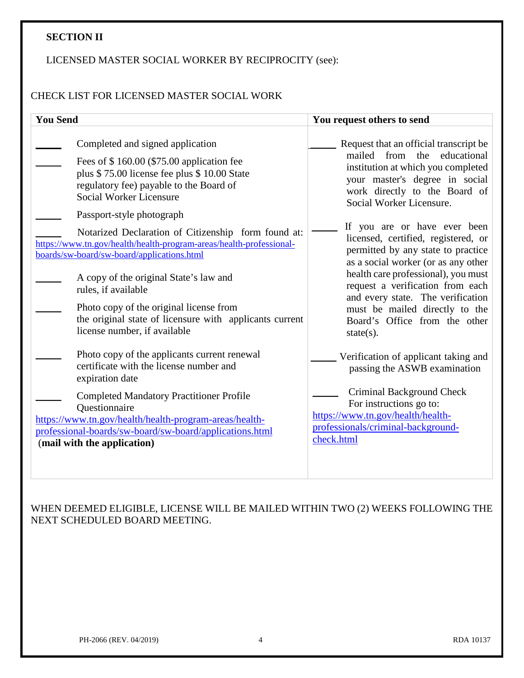#### **SECTION II**

### LICENSED MASTER SOCIAL WORKER BY RECIPROCITY (see):

## CHECK LIST FOR LICENSED MASTER SOCIAL WORK

| <b>You Send</b>                                                                                                                                                                                                                                                                                                                                                                                                                                                                                                                                                                                                    | You request others to send                                                                                                                                                                                                                                                                                                                                                                                                                                                                                                                                            |
|--------------------------------------------------------------------------------------------------------------------------------------------------------------------------------------------------------------------------------------------------------------------------------------------------------------------------------------------------------------------------------------------------------------------------------------------------------------------------------------------------------------------------------------------------------------------------------------------------------------------|-----------------------------------------------------------------------------------------------------------------------------------------------------------------------------------------------------------------------------------------------------------------------------------------------------------------------------------------------------------------------------------------------------------------------------------------------------------------------------------------------------------------------------------------------------------------------|
| Completed and signed application<br>Fees of \$160.00 (\$75.00 application fee<br>plus \$75.00 license fee plus \$10.00 State<br>regulatory fee) payable to the Board of<br>Social Worker Licensure<br>Passport-style photograph<br>Notarized Declaration of Citizenship form found at:<br>https://www.tn.gov/health/health-program-areas/health-professional-<br>boards/sw-board/sw-board/applications.html<br>A copy of the original State's law and<br>rules, if available<br>Photo copy of the original license from<br>the original state of licensure with applicants current<br>license number, if available | Request that an official transcript be<br>mailed from the<br>educational<br>institution at which you completed<br>your master's degree in social<br>work directly to the Board of<br>Social Worker Licensure.<br>If you are or have ever been<br>licensed, certified, registered, or<br>permitted by any state to practice<br>as a social worker (or as any other<br>health care professional), you must<br>request a verification from each<br>and every state. The verification<br>must be mailed directly to the<br>Board's Office from the other<br>state $(s)$ . |
| Photo copy of the applicants current renewal<br>certificate with the license number and<br>expiration date<br><b>Completed Mandatory Practitioner Profile</b>                                                                                                                                                                                                                                                                                                                                                                                                                                                      | Verification of applicant taking and<br>passing the ASWB examination<br>Criminal Background Check<br>For instructions go to:                                                                                                                                                                                                                                                                                                                                                                                                                                          |
| Questionnaire<br>https://www.tn.gov/health/health-program-areas/health-<br>professional-boards/sw-board/sw-board/applications.html<br>(mail with the application)                                                                                                                                                                                                                                                                                                                                                                                                                                                  | https://www.tn.gov/health/health-<br>professionals/criminal-background-<br>check.html                                                                                                                                                                                                                                                                                                                                                                                                                                                                                 |

WHEN DEEMED ELIGIBLE, LICENSE WILL BE MAILED WITHIN TWO (2) WEEKS FOLLOWING THE NEXT SCHEDULED BOARD MEETING.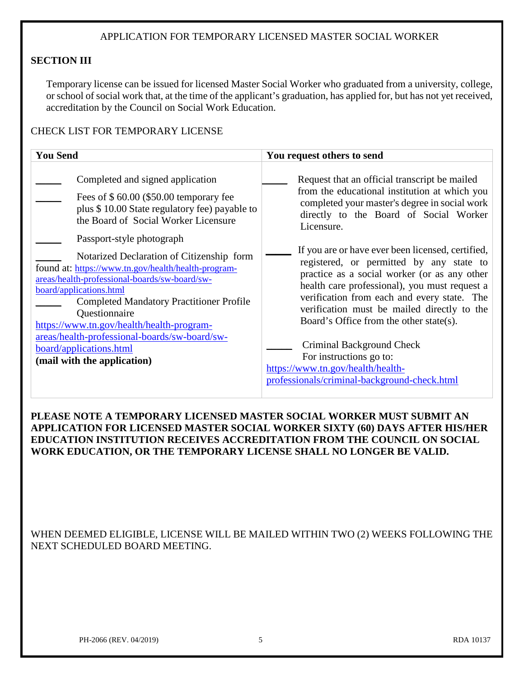### APPLICATION FOR TEMPORARY LICENSED MASTER SOCIAL WORKER

#### **SECTION III**

Temporary license can be issued for licensed Master Social Worker who graduated from a university, college, or school of social work that, at the time of the applicant's graduation, has applied for, but has not yet received, accreditation by the Council on Social Work Education.

#### CHECK LIST FOR TEMPORARY LICENSE

| <b>You Send</b>                                                                                                                                                                                                                                                                                                                                                                                                                                                                                                                                                                                               | You request others to send                                                                                                                                                                                                                                                                                                                                                                                                                                                                                                                                                                                                                                                                      |  |  |
|---------------------------------------------------------------------------------------------------------------------------------------------------------------------------------------------------------------------------------------------------------------------------------------------------------------------------------------------------------------------------------------------------------------------------------------------------------------------------------------------------------------------------------------------------------------------------------------------------------------|-------------------------------------------------------------------------------------------------------------------------------------------------------------------------------------------------------------------------------------------------------------------------------------------------------------------------------------------------------------------------------------------------------------------------------------------------------------------------------------------------------------------------------------------------------------------------------------------------------------------------------------------------------------------------------------------------|--|--|
| Completed and signed application<br>Fees of $$60.00$ (\$50.00 temporary fee<br>plus \$10.00 State regulatory fee) payable to<br>the Board of Social Worker Licensure<br>Passport-style photograph<br>Notarized Declaration of Citizenship form<br>found at: https://www.tn.gov/health/health-program-<br>areas/health-professional-boards/sw-board/sw-<br>board/applications.html<br><b>Completed Mandatory Practitioner Profile</b><br>Questionnaire<br>https://www.tn.gov/health/health-program-<br>areas/health-professional-boards/sw-board/sw-<br>board/applications.html<br>(mail with the application) | Request that an official transcript be mailed<br>from the educational institution at which you<br>completed your master's degree in social work<br>directly to the Board of Social Worker<br>Licensure.<br>If you are or have ever been licensed, certified,<br>registered, or permitted by any state to<br>practice as a social worker (or as any other<br>health care professional), you must request a<br>verification from each and every state. The<br>verification must be mailed directly to the<br>Board's Office from the other state(s).<br>Criminal Background Check<br>For instructions go to:<br>https://www.tn.gov/health/health-<br>professionals/criminal-background-check.html |  |  |

### **PLEASE NOTE A TEMPORARY LICENSED MASTER SOCIAL WORKER MUST SUBMIT AN APPLICATION FOR LICENSED MASTER SOCIAL WORKER SIXTY (60) DAYS AFTER HIS/HER EDUCATION INSTITUTION RECEIVES ACCREDITATION FROM THE COUNCIL ON SOCIAL WORK EDUCATION, OR THE TEMPORARY LICENSE SHALL NO LONGER BE VALID.**

WHEN DEEMED ELIGIBLE, LICENSE WILL BE MAILED WITHIN TWO (2) WEEKS FOLLOWING THE NEXT SCHEDULED BOARD MEETING.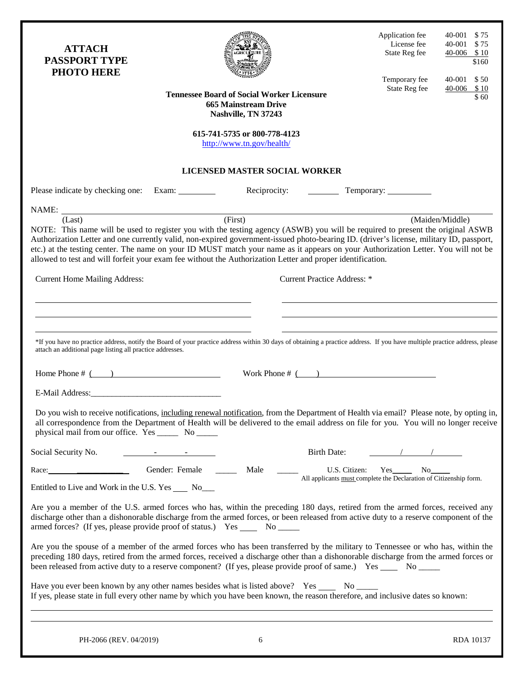| <b>ATTACH</b><br><b>PASSPORT TYPE</b><br><b>PHOTO HERE</b>                                                                                                                                                                                                                                                                                                                                                                                                                                                                                                                                    |                                                                                                |                                                                                                         |                                    | Application fee<br>License fee<br>State Reg fee                                           | 40-001<br>\$75<br>40-001 \$75<br>$40-006$ \$10<br>\$160 |
|-----------------------------------------------------------------------------------------------------------------------------------------------------------------------------------------------------------------------------------------------------------------------------------------------------------------------------------------------------------------------------------------------------------------------------------------------------------------------------------------------------------------------------------------------------------------------------------------------|------------------------------------------------------------------------------------------------|---------------------------------------------------------------------------------------------------------|------------------------------------|-------------------------------------------------------------------------------------------|---------------------------------------------------------|
|                                                                                                                                                                                                                                                                                                                                                                                                                                                                                                                                                                                               |                                                                                                | <b>Tennessee Board of Social Worker Licensure</b><br><b>665 Mainstream Drive</b><br>Nashville, TN 37243 |                                    | Temporary fee<br>State Reg fee                                                            | 40-001 \$50<br>$40-006$ \$10<br>\$60                    |
|                                                                                                                                                                                                                                                                                                                                                                                                                                                                                                                                                                                               |                                                                                                | 615-741-5735 or 800-778-4123<br>http://www.tn.gov/health/                                               |                                    |                                                                                           |                                                         |
|                                                                                                                                                                                                                                                                                                                                                                                                                                                                                                                                                                                               |                                                                                                | <b>LICENSED MASTER SOCIAL WORKER</b>                                                                    |                                    |                                                                                           |                                                         |
| Please indicate by checking one:                                                                                                                                                                                                                                                                                                                                                                                                                                                                                                                                                              | Exam: $\frac{1}{\sqrt{1-\frac{1}{2}}\sqrt{1-\frac{1}{2}}\left(\frac{1}{2}-\frac{1}{2}\right)}$ | Reciprocity:                                                                                            |                                    |                                                                                           |                                                         |
| NAME: $(Last)$ (First)<br>NOTE: This name will be used to register you with the testing agency (ASWB) you will be required to present the original ASWB<br>Authorization Letter and one currently valid, non-expired government-issued photo-bearing ID. (driver's license, military ID, passport,<br>etc.) at the testing center. The name on your ID MUST match your name as it appears on your Authorization Letter. You will not be<br>allowed to test and will forfeit your exam fee without the Authorization Letter and proper identification.<br><b>Current Home Mailing Address:</b> |                                                                                                |                                                                                                         | <b>Current Practice Address:</b> * |                                                                                           | (Maiden/Middle)                                         |
| *If you have no practice address, notify the Board of your practice address within 30 days of obtaining a practice address. If you have multiple practice address, please<br>attach an additional page listing all practice addresses.<br>Home Phone $\#$ ( )                                                                                                                                                                                                                                                                                                                                 |                                                                                                |                                                                                                         | Work Phone $\#$ ( )                |                                                                                           |                                                         |
| Do you wish to receive notifications, including renewal notification, from the Department of Health via email? Please note, by opting in,<br>all correspondence from the Department of Health will be delivered to the email address on file for you. You will no longer receive<br>physical mail from our office. Yes ________ No ______                                                                                                                                                                                                                                                     |                                                                                                |                                                                                                         |                                    |                                                                                           |                                                         |
| Social Security No.                                                                                                                                                                                                                                                                                                                                                                                                                                                                                                                                                                           |                                                                                                |                                                                                                         | Birth Date:                        |                                                                                           |                                                         |
| Race: National Property of the Second Second Second Second Second Second Second Second Second Second Second Second Second Second Second Second Second Second Second Second Second Second Second Second Second Second Second Se<br>Entitled to Live and Work in the U.S. Yes ______ No____                                                                                                                                                                                                                                                                                                     | Gender: Female                                                                                 | Male                                                                                                    |                                    | U.S. Citizen: Yes No<br>All applicants must complete the Declaration of Citizenship form. |                                                         |
| Are you a member of the U.S. armed forces who has, within the preceding 180 days, retired from the armed forces, received any<br>discharge other than a dishonorable discharge from the armed forces, or been released from active duty to a reserve component of the<br>armed forces? (If yes, please provide proof of status.) Yes _______ No ______                                                                                                                                                                                                                                        |                                                                                                |                                                                                                         |                                    |                                                                                           |                                                         |
| Are you the spouse of a member of the armed forces who has been transferred by the military to Tennessee or who has, within the<br>preceding 180 days, retired from the armed forces, received a discharge other than a dishonorable discharge from the armed forces or<br>been released from active duty to a reserve component? (If yes, please provide proof of same.) Yes ______ No _____                                                                                                                                                                                                 |                                                                                                |                                                                                                         |                                    |                                                                                           |                                                         |
| Have you ever been known by any other names besides what is listed above? Yes ______ No ______<br>If yes, please state in full every other name by which you have been known, the reason therefore, and inclusive dates so known:                                                                                                                                                                                                                                                                                                                                                             |                                                                                                |                                                                                                         |                                    |                                                                                           |                                                         |
| PH-2066 (REV. 04/2019)                                                                                                                                                                                                                                                                                                                                                                                                                                                                                                                                                                        |                                                                                                | 6                                                                                                       |                                    |                                                                                           | RDA 10137                                               |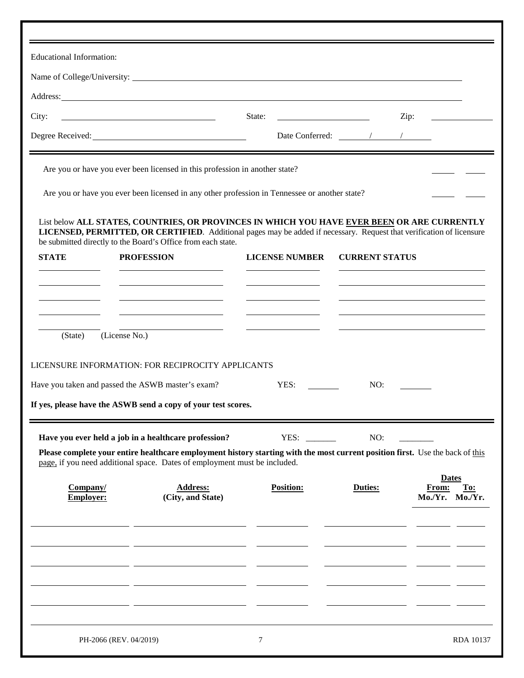|                              | <b>Educational Information:</b> |                                                                                                                      |                                                                                               |                                                                 |                                                                                                                                                                                                                      |
|------------------------------|---------------------------------|----------------------------------------------------------------------------------------------------------------------|-----------------------------------------------------------------------------------------------|-----------------------------------------------------------------|----------------------------------------------------------------------------------------------------------------------------------------------------------------------------------------------------------------------|
|                              |                                 |                                                                                                                      | Name of College/University:                                                                   |                                                                 |                                                                                                                                                                                                                      |
|                              |                                 |                                                                                                                      |                                                                                               |                                                                 |                                                                                                                                                                                                                      |
| City:                        |                                 |                                                                                                                      | State:                                                                                        | <u> 1989 - Johann Barn, mars an t-Amerikaansk kommunister (</u> | Zip:<br>the control of the control of the                                                                                                                                                                            |
|                              |                                 |                                                                                                                      |                                                                                               | Date Conferred: $\sqrt{2\pi}$                                   |                                                                                                                                                                                                                      |
|                              |                                 | Are you or have you ever been licensed in this profession in another state?                                          |                                                                                               |                                                                 |                                                                                                                                                                                                                      |
|                              |                                 |                                                                                                                      | Are you or have you ever been licensed in any other profession in Tennessee or another state? |                                                                 |                                                                                                                                                                                                                      |
|                              |                                 | be submitted directly to the Board's Office from each state.                                                         |                                                                                               |                                                                 | List below ALL STATES, COUNTRIES, OR PROVINCES IN WHICH YOU HAVE EVER BEEN OR ARE CURRENTLY<br>LICENSED, PERMITTED, OR CERTIFIED. Additional pages may be added if necessary. Request that verification of licensure |
| <b>STATE</b>                 | <b>PROFESSION</b>               |                                                                                                                      | <b>LICENSE NUMBER</b>                                                                         | <b>CURRENT STATUS</b>                                           |                                                                                                                                                                                                                      |
|                              |                                 |                                                                                                                      |                                                                                               |                                                                 |                                                                                                                                                                                                                      |
|                              |                                 | <u> 1989 - Johann Barn, amerikansk politiker (</u>                                                                   |                                                                                               |                                                                 |                                                                                                                                                                                                                      |
|                              |                                 | <u> 1989 - Johann Barbara, martin amerikan basar dan basa dan basar dan basar dalam basa dalam basa dan basar da</u> |                                                                                               |                                                                 |                                                                                                                                                                                                                      |
|                              |                                 |                                                                                                                      |                                                                                               |                                                                 |                                                                                                                                                                                                                      |
| (State)                      | (License No.)                   |                                                                                                                      |                                                                                               |                                                                 |                                                                                                                                                                                                                      |
|                              |                                 |                                                                                                                      |                                                                                               |                                                                 |                                                                                                                                                                                                                      |
|                              |                                 | LICENSURE INFORMATION: FOR RECIPROCITY APPLICANTS                                                                    |                                                                                               | NO:                                                             |                                                                                                                                                                                                                      |
|                              |                                 | Have you taken and passed the ASWB master's exam?                                                                    | YES:                                                                                          |                                                                 |                                                                                                                                                                                                                      |
|                              |                                 | If yes, please have the ASWB send a copy of your test scores.                                                        |                                                                                               |                                                                 |                                                                                                                                                                                                                      |
|                              |                                 | Have you ever held a job in a healthcare profession?                                                                 | YES:                                                                                          | NO:                                                             |                                                                                                                                                                                                                      |
|                              |                                 | page, if you need additional space. Dates of employment must be included.                                            |                                                                                               |                                                                 | Please complete your entire healthcare employment history starting with the most current position first. Use the back of this                                                                                        |
|                              |                                 |                                                                                                                      |                                                                                               |                                                                 | <b>Dates</b>                                                                                                                                                                                                         |
| Company/<br><b>Employer:</b> |                                 | <b>Address:</b><br>(City, and State)                                                                                 | <b>Position:</b>                                                                              | Duties:                                                         | From:<br>To:<br>Mo./Yr. Mo./Yr.                                                                                                                                                                                      |
|                              |                                 |                                                                                                                      |                                                                                               |                                                                 |                                                                                                                                                                                                                      |
|                              |                                 |                                                                                                                      |                                                                                               |                                                                 |                                                                                                                                                                                                                      |
|                              |                                 |                                                                                                                      |                                                                                               |                                                                 |                                                                                                                                                                                                                      |
|                              |                                 |                                                                                                                      |                                                                                               |                                                                 |                                                                                                                                                                                                                      |
|                              |                                 |                                                                                                                      |                                                                                               |                                                                 |                                                                                                                                                                                                                      |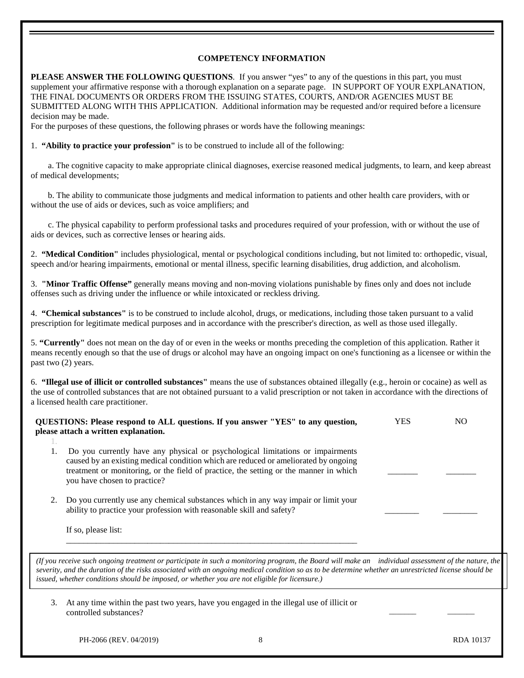#### **COMPETENCY INFORMATION**

**PLEASE ANSWER THE FOLLOWING QUESTIONS**. If you answer "yes" to any of the questions in this part, you must supplement your affirmative response with a thorough explanation on a separate page. IN SUPPORT OF YOUR EXPLANATION, THE FINAL DOCUMENTS OR ORDERS FROM THE ISSUING STATES, COURTS, AND/OR AGENCIES MUST BE SUBMITTED ALONG WITH THIS APPLICATION. Additional information may be requested and/or required before a licensure decision may be made.

For the purposes of these questions, the following phrases or words have the following meanings:

1. **"Ability to practice your profession"** is to be construed to include all of the following:

 a. The cognitive capacity to make appropriate clinical diagnoses, exercise reasoned medical judgments, to learn, and keep abreast of medical developments;

 b. The ability to communicate those judgments and medical information to patients and other health care providers, with or without the use of aids or devices, such as voice amplifiers; and

 c. The physical capability to perform professional tasks and procedures required of your profession, with or without the use of aids or devices, such as corrective lenses or hearing aids.

2. **"Medical Condition"** includes physiological, mental or psychological conditions including, but not limited to: orthopedic, visual, speech and/or hearing impairments, emotional or mental illness, specific learning disabilities, drug addiction, and alcoholism.

3. **"Minor Traffic Offense"** generally means moving and non-moving violations punishable by fines only and does not include offenses such as driving under the influence or while intoxicated or reckless driving.

4. **"Chemical substances"** is to be construed to include alcohol, drugs, or medications, including those taken pursuant to a valid prescription for legitimate medical purposes and in accordance with the prescriber's direction, as well as those used illegally.

5. **"Currently"** does not mean on the day of or even in the weeks or months preceding the completion of this application. Rather it means recently enough so that the use of drugs or alcohol may have an ongoing impact on one's functioning as a licensee or within the past two (2) years.

6. **"Illegal use of illicit or controlled substances"** means the use of substances obtained illegally (e.g., heroin or cocaine) as well as the use of controlled substances that are not obtained pursuant to a valid prescription or not taken in accordance with the directions of a licensed health care practitioner.

|                                                                                                                                                                                                                                                                                                                                                                                                              | QUESTIONS: Please respond to ALL questions. If you answer "YES" to any question,<br>please attach a written explanation.                                                                                                                                                                       | <b>YES</b> | NO. |  |  |
|--------------------------------------------------------------------------------------------------------------------------------------------------------------------------------------------------------------------------------------------------------------------------------------------------------------------------------------------------------------------------------------------------------------|------------------------------------------------------------------------------------------------------------------------------------------------------------------------------------------------------------------------------------------------------------------------------------------------|------------|-----|--|--|
|                                                                                                                                                                                                                                                                                                                                                                                                              | Do you currently have any physical or psychological limitations or impairments<br>caused by an existing medical condition which are reduced or ameliorated by ongoing<br>treatment or monitoring, or the field of practice, the setting or the manner in which<br>you have chosen to practice? |            |     |  |  |
| 2.                                                                                                                                                                                                                                                                                                                                                                                                           | Do you currently use any chemical substances which in any way impair or limit your<br>ability to practice your profession with reasonable skill and safety?<br>If so, please list:                                                                                                             |            |     |  |  |
| (If you receive such ongoing treatment or participate in such a monitoring program, the Board will make an individual assessment of the nature, the<br>severity, and the duration of the risks associated with an ongoing medical condition so as to be determine whether an unrestricted license should be<br>issued, whether conditions should be imposed, or whether you are not eligible for licensure.) |                                                                                                                                                                                                                                                                                                |            |     |  |  |
| 3.                                                                                                                                                                                                                                                                                                                                                                                                           | At any time within the past two years, have you engaged in the illegal use of illicit or<br>controlled substances?                                                                                                                                                                             |            |     |  |  |

PH-2066 (REV. 04/2019) 8 RDA 10137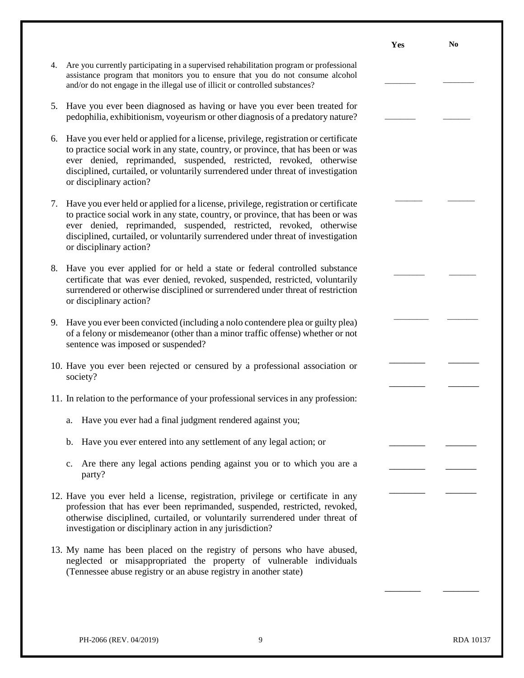|    |                                                                                                                                                                                                                                                                                                                                                               | Yes | N <sub>0</sub> |
|----|---------------------------------------------------------------------------------------------------------------------------------------------------------------------------------------------------------------------------------------------------------------------------------------------------------------------------------------------------------------|-----|----------------|
| 4. | Are you currently participating in a supervised rehabilitation program or professional<br>assistance program that monitors you to ensure that you do not consume alcohol<br>and/or do not engage in the illegal use of illicit or controlled substances?                                                                                                      |     |                |
| 5. | Have you ever been diagnosed as having or have you ever been treated for<br>pedophilia, exhibitionism, voyeurism or other diagnosis of a predatory nature?                                                                                                                                                                                                    |     |                |
| 6. | Have you ever held or applied for a license, privilege, registration or certificate<br>to practice social work in any state, country, or province, that has been or was<br>ever denied, reprimanded, suspended, restricted, revoked, otherwise<br>disciplined, curtailed, or voluntarily surrendered under threat of investigation<br>or disciplinary action? |     |                |
| 7. | Have you ever held or applied for a license, privilege, registration or certificate<br>to practice social work in any state, country, or province, that has been or was<br>ever denied, reprimanded, suspended, restricted, revoked, otherwise<br>disciplined, curtailed, or voluntarily surrendered under threat of investigation<br>or disciplinary action? |     |                |
| 8. | Have you ever applied for or held a state or federal controlled substance<br>certificate that was ever denied, revoked, suspended, restricted, voluntarily<br>surrendered or otherwise disciplined or surrendered under threat of restriction<br>or disciplinary action?                                                                                      |     |                |
| 9. | Have you ever been convicted (including a nolo contendere plea or guilty plea)<br>of a felony or misdemeanor (other than a minor traffic offense) whether or not<br>sentence was imposed or suspended?                                                                                                                                                        |     |                |
|    | 10. Have you ever been rejected or censured by a professional association or<br>society?                                                                                                                                                                                                                                                                      |     |                |
|    | 11. In relation to the performance of your professional services in any profession:                                                                                                                                                                                                                                                                           |     |                |
|    | a. Have you ever had a final judgment rendered against you;                                                                                                                                                                                                                                                                                                   |     |                |
|    | b. Have you ever entered into any settlement of any legal action; or                                                                                                                                                                                                                                                                                          |     |                |
|    | Are there any legal actions pending against you or to which you are a<br>$c_{\cdot}$<br>party?                                                                                                                                                                                                                                                                |     |                |
|    | 12. Have you ever held a license, registration, privilege or certificate in any<br>profession that has ever been reprimanded, suspended, restricted, revoked,<br>otherwise disciplined, curtailed, or voluntarily surrendered under threat of<br>investigation or disciplinary action in any jurisdiction?                                                    |     |                |
|    | 13. My name has been placed on the registry of persons who have abused,<br>neglected or misappropriated the property of vulnerable individuals<br>(Tennessee abuse registry or an abuse registry in another state)                                                                                                                                            |     |                |
|    |                                                                                                                                                                                                                                                                                                                                                               |     |                |